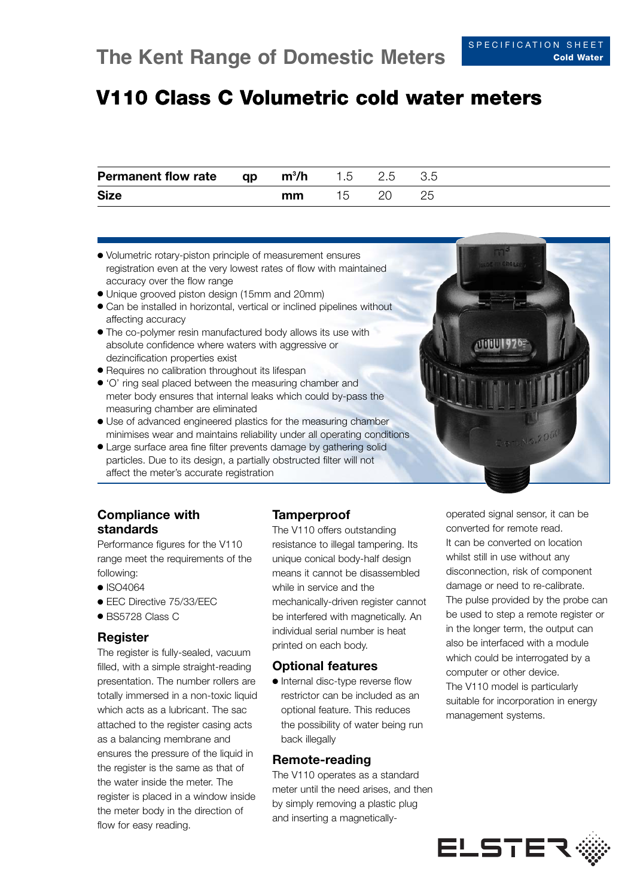# **V110 Class C Volumetric cold water meters**

| <b>Permanent flow rate</b> | qp | $m^3/h$ | 1.5 | 2.5 |  |  |
|----------------------------|----|---------|-----|-----|--|--|
| <b>Size</b>                |    | mm      |     |     |  |  |

- Volumetric rotary-piston principle of measurement ensures registration even at the very lowest rates of flow with maintained accuracy over the flow range
- Unique grooved piston design (15mm and 20mm)
- Can be installed in horizontal, vertical or inclined pipelines without affecting accuracy
- The co-polymer resin manufactured body allows its use with absolute confidence where waters with aggressive or dezincification properties exist
- Requires no calibration throughout its lifespan
- 'O' ring seal placed between the measuring chamber and meter body ensures that internal leaks which could by-pass the measuring chamber are eliminated
- Use of advanced engineered plastics for the measuring chamber minimises wear and maintains reliability under all operating conditions
- Large surface area fine filter prevents damage by gathering solid particles. Due to its design, a partially obstructed filter will not affect the meter's accurate registration

# **Compliance with standards**

Performance figures for the V110 range meet the requirements of the following:

- ISO4064
- FFC Directive 75/33/FFC
- BS5728 Class C

### **Register**

The register is fully-sealed, vacuum filled, with a simple straight-reading presentation. The number rollers are totally immersed in a non-toxic liquid which acts as a lubricant. The sac attached to the register casing acts as a balancing membrane and ensures the pressure of the liquid in the register is the same as that of the water inside the meter. The register is placed in a window inside the meter body in the direction of flow for easy reading.

### **Tamperproof**

The V110 offers outstanding resistance to illegal tampering. Its unique conical body-half design means it cannot be disassembled while in service and the mechanically-driven register cannot be interfered with magnetically. An individual serial number is heat printed on each body.

### **Optional features**

● Internal disc-type reverse flow restrictor can be included as an optional feature. This reduces the possibility of water being run back illegally

### **Remote-reading**

The V110 operates as a standard meter until the need arises, and then by simply removing a plastic plug and inserting a magneticallyoperated signal sensor, it can be converted for remote read. It can be converted on location whilst still in use without any disconnection, risk of component damage or need to re-calibrate. The pulse provided by the probe can be used to step a remote register or in the longer term, the output can also be interfaced with a module which could be interrogated by a computer or other device. The V110 model is particularly suitable for incorporation in energy management systems.

**Alililli 926**